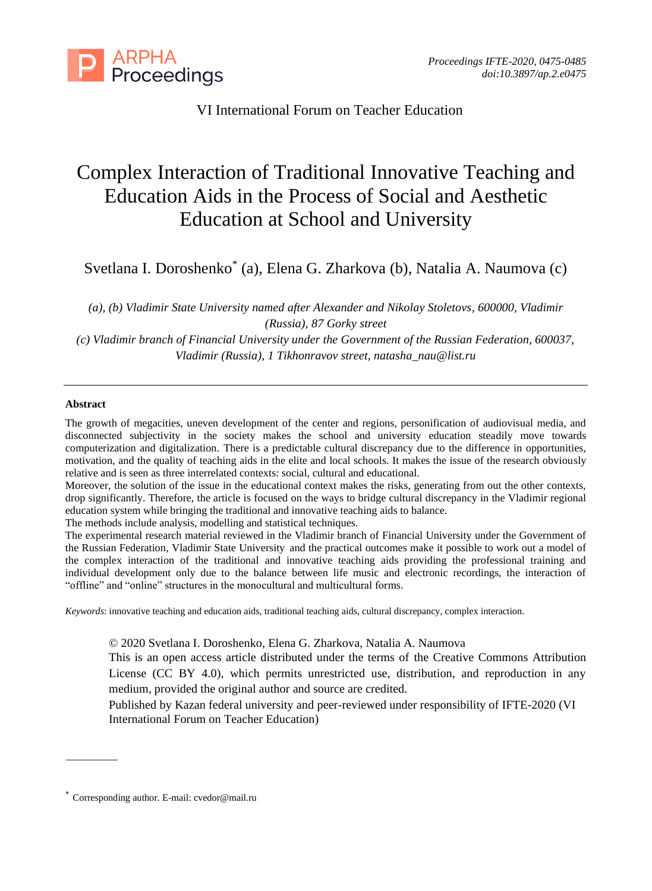

VI International Forum on Teacher Education

# Complex Interaction of Traditional Innovative Teaching and Education Aids in the Process of Social and Aesthetic Education at School and University

Svetlana I. Doroshenko\* (a), Elena G. Zharkova (b), Natalia A. Naumova (c)

*(a), (b) Vladimir State University named after Alexander and Nikolay Stoletovs, 600000, Vladimir (Russia), 87 Gorky street*

*(c) Vladimir branch of Financial University under the Government of the Russian Federation, 600037, Vladimir (Russia), 1 Tikhonravov street, natasha\_nau@list.ru*

## **Abstract**

The growth of megacities, uneven development of the center and regions, personification of audiovisual media, and disconnected subjectivity in the society makes the school and university education steadily move towards computerization and digitalization. There is a predictable cultural discrepancy due to the difference in opportunities, motivation, and the quality of teaching aids in the elite and local schools. It makes the issue of the research obviously relative and is seen as three interrelated contexts: social, cultural and educational.

Moreover, the solution of the issue in the educational context makes the risks, generating from out the other contexts, drop significantly. Therefore, the article is focused on the ways to bridge cultural discrepancy in the Vladimir regional education system while bringing the traditional and innovative teaching aids to balance.

The methods include analysis, modelling and statistical techniques.

The experimental research material reviewed in the Vladimir branch of Financial University under the Government of the Russian Federation, Vladimir State University and the practical outcomes make it possible to work out a model of the complex interaction of the traditional and innovative teaching aids providing the professional training and individual development only due to the balance between life music and electronic recordings, the interaction of "offline" and "online" structures in the monocultural and multicultural forms.

*Keywords*: innovative teaching and education aids, traditional teaching aids, cultural discrepancy, complex interaction.

© 2020 Svetlana I. Doroshenko, Elena G. Zharkova, Natalia A. Naumova

This is an open access article distributed under the terms of the Creative Commons Attribution License (CC BY 4.0), which permits unrestricted use, distribution, and reproduction in any medium, provided the original author and source are credited.

Published by Kazan federal university and peer-reviewed under responsibility of IFTE-2020 (VI International Forum on Teacher Education)

<sup>\*</sup> Corresponding author. E-mail: cvedor@mail.ru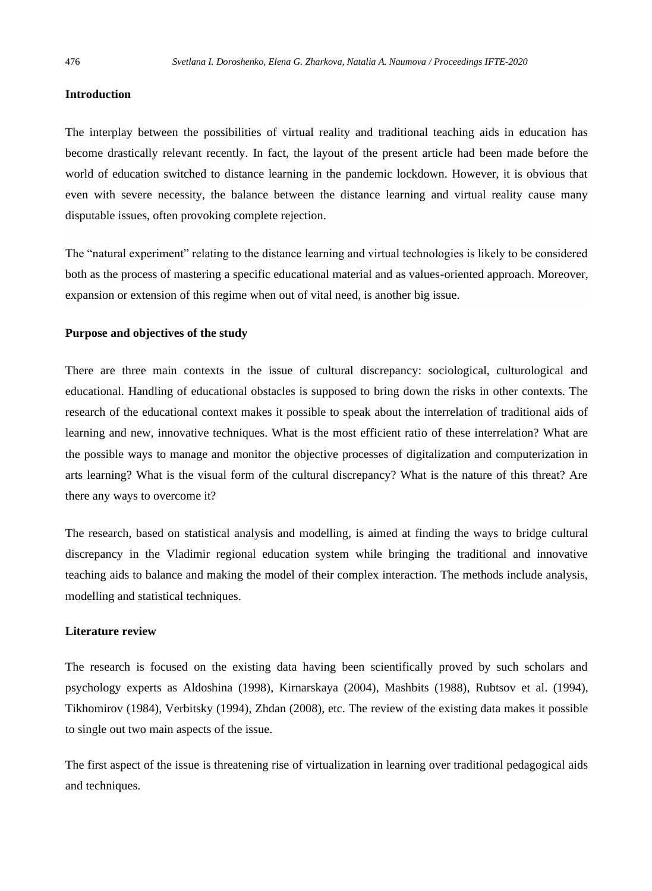## **Introduction**

The interplay between the possibilities of virtual reality and traditional teaching aids in education has become drastically relevant recently. In fact, the layout of the present article had been made before the world of education switched to distance learning in the pandemic lockdown. However, it is obvious that even with severe necessity, the balance between the distance learning and virtual reality cause many disputable issues, often provoking complete rejection.

The "natural experiment" relating to the distance learning and virtual technologies is likely to be considered both as the process of mastering a specific educational material and as values-oriented approach. Moreover, expansion or extension of this regime when out of vital need, is another big issue.

## **Purpose and objectives of the study**

There are three main contexts in the issue of cultural discrepancy: sociological, culturological and educational. Handling of educational obstacles is supposed to bring down the risks in other contexts. The research of the educational context makes it possible to speak about the interrelation of traditional aids of learning and new, innovative techniques. What is the most efficient ratio of these interrelation? What are the possible ways to manage and monitor the objective processes of digitalization and computerization in arts learning? What is the visual form of the cultural discrepancy? What is the nature of this threat? Are there any ways to overcome it?

The research, based on statistical analysis and modelling, is aimed at finding the ways to bridge cultural discrepancy in the Vladimir regional education system while bringing the traditional and innovative teaching aids to balance and making the model of their complex interaction. The methods include analysis, modelling and statistical techniques.

## **Literature review**

The research is focused on the existing data having been scientifically proved by such scholars and psychology experts as Aldoshina (1998), Kirnarskaya (2004), Mashbits (1988), Rubtsov et al. (1994), Tikhomirov (1984), Verbitsky (1994), Zhdan (2008), etc. The review of the existing data makes it possible to single out two main aspects of the issue.

The first aspect of the issue is threatening rise of virtualization in learning over traditional pedagogical aids and techniques.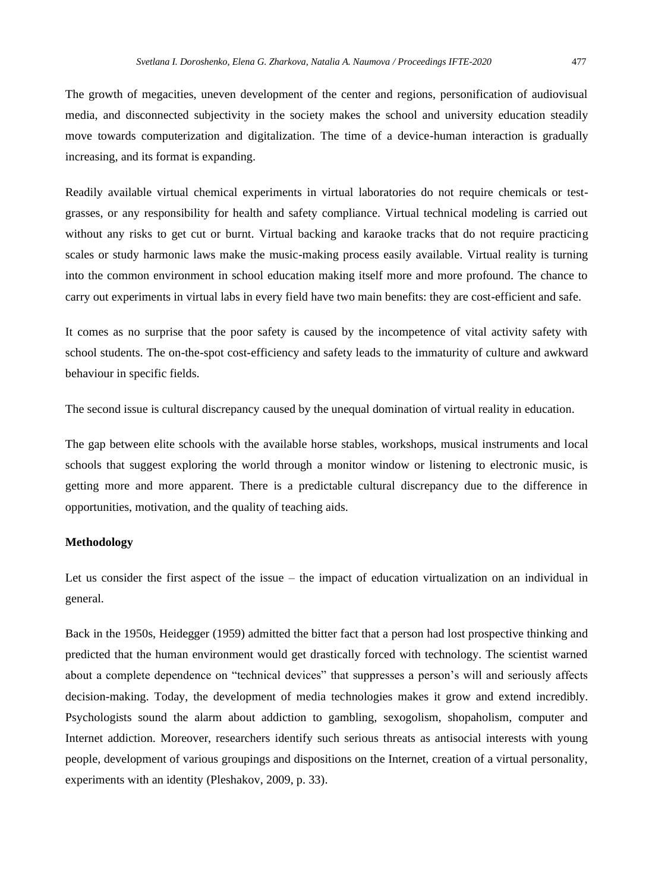The growth of megacities, uneven development of the center and regions, personification of audiovisual media, and disconnected subjectivity in the society makes the school and university education steadily move towards computerization and digitalization. The time of a device-human interaction is gradually increasing, and its format is expanding.

Readily available virtual chemical experiments in virtual laboratories do not require chemicals or testgrasses, or any responsibility for health and safety compliance. Virtual technical modeling is carried out without any risks to get cut or burnt. Virtual backing and karaoke tracks that do not require practicing scales or study harmonic laws make the music-making process easily available. Virtual reality is turning into the common environment in school education making itself more and more profound. The chance to carry out experiments in virtual labs in every field have two main benefits: they are cost-efficient and safe.

It comes as no surprise that the poor safety is caused by the incompetence of vital activity safety with school students. The on-the-spot cost-efficiency and safety leads to the immaturity of culture and awkward behaviour in specific fields.

The second issue is cultural discrepancy caused by the unequal domination of virtual reality in education.

The gap between elite schools with the available horse stables, workshops, musical instruments and local schools that suggest exploring the world through a monitor window or listening to electronic music, is getting more and more apparent. There is a predictable cultural discrepancy due to the difference in opportunities, motivation, and the quality of teaching aids.

# **Methodology**

Let us consider the first aspect of the issue – the impact of education virtualization on an individual in general.

Back in the 1950s, Heidegger (1959) admitted the bitter fact that a person had lost prospective thinking and predicted that the human environment would get drastically forced with technology. The scientist warned about a complete dependence on "technical devices" that suppresses a person's will and seriously affects decision-making. Today, the development of media technologies makes it grow and extend incredibly. Psychologists sound the alarm about addiction to gambling, sexogolism, shopaholism, computer and Internet addiction. Moreover, researchers identify such serious threats as antisocial interests with young people, development of various groupings and dispositions on the Internet, creation of a virtual personality, experiments with an identity (Pleshakov, 2009, p. 33).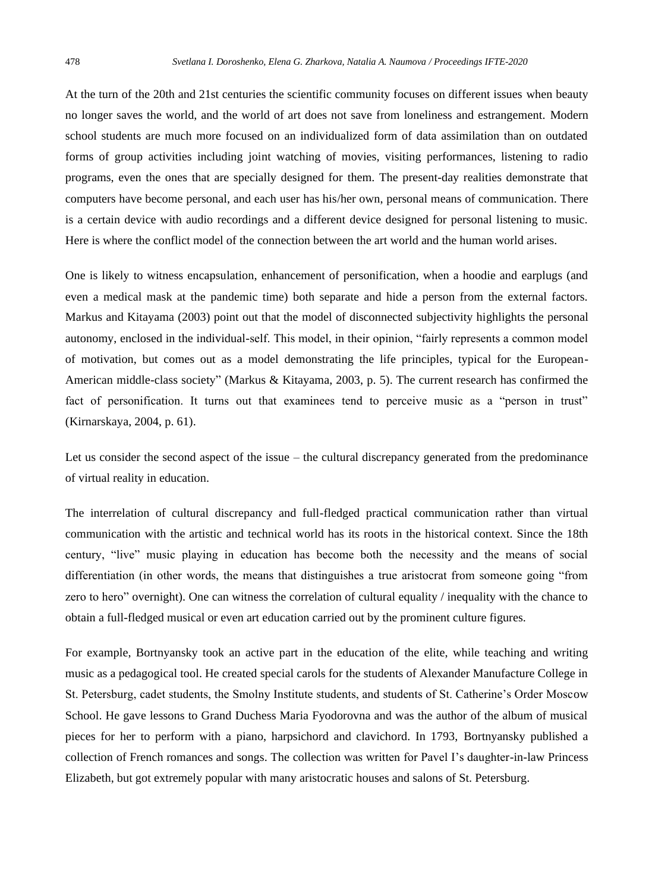At the turn of the 20th and 21st centuries the scientific community focuses on different issues when beauty no longer saves the world, and the world of art does not save from loneliness and estrangement. Modern school students are much more focused on an individualized form of data assimilation than on outdated forms of group activities including joint watching of movies, visiting performances, listening to radio programs, even the ones that are specially designed for them. The present-day realities demonstrate that computers have become personal, and each user has his/her own, personal means of communication. There is a certain device with audio recordings and a different device designed for personal listening to music. Here is where the conflict model of the connection between the art world and the human world arises.

One is likely to witness encapsulation, enhancement of personification, when a hoodie and earplugs (and even a medical mask at the pandemic time) both separate and hide a person from the external factors. Markus and Kitayama (2003) point out that the model of disconnected subjectivity highlights the personal autonomy, enclosed in the individual-self. This model, in their opinion, "fairly represents a common model of motivation, but comes out as a model demonstrating the life principles, typical for the European-American middle-class society" (Markus & Kitayama, 2003, p. 5). The current research has confirmed the fact of personification. It turns out that examinees tend to perceive music as a "person in trust" (Kirnarskaya, 2004, p. 61).

Let us consider the second aspect of the issue – the cultural discrepancy generated from the predominance of virtual reality in education.

The interrelation of cultural discrepancy and full-fledged practical communication rather than virtual communication with the artistic and technical world has its roots in the historical context. Since the 18th century, "live" music playing in education has become both the necessity and the means of social differentiation (in other words, the means that distinguishes a true aristocrat from someone going "from zero to hero" overnight). One can witness the correlation of cultural equality / inequality with the chance to obtain a full-fledged musical or even art education carried out by the prominent culture figures.

For example, Bortnyansky took an active part in the education of the elite, while teaching and writing music as a pedagogical tool. He created special carols for the students of Alexander Manufacture College in St. Petersburg, cadet students, the Smolny Institute students, and students of St. Catherine's Order Moscow School. He gave lessons to Grand Duchess Maria Fyodorovna and was the author of the album of musical pieces for her to perform with a piano, harpsichord and clavichord. In 1793, Bortnyansky published a collection of French romances and songs. The collection was written for Pavel I's daughter-in-law Princess Elizabeth, but got extremely popular with many aristocratic houses and salons of St. Petersburg.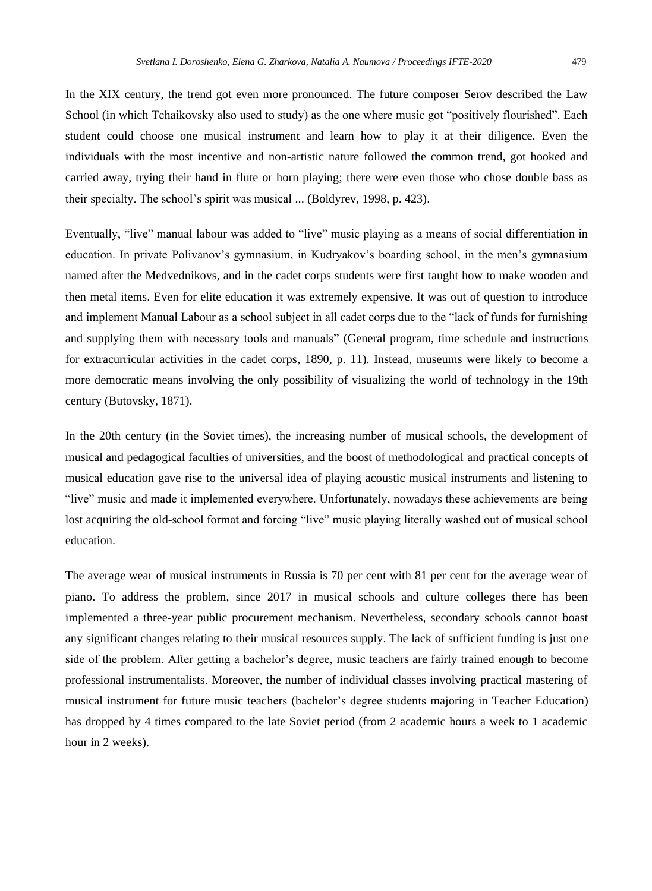In the XIX century, the trend got even more pronounced. The future composer Serov described the Law School (in which Tchaikovsky also used to study) as the one where music got "positively flourished". Each student could choose one musical instrument and learn how to play it at their diligence. Even the individuals with the most incentive and non-artistic nature followed the common trend, got hooked and carried away, trying their hand in flute or horn playing; there were even those who chose double bass as their specialty. The school's spirit was musical ... (Boldyrev, 1998, p. 423).

Eventually, "live" manual labour was added to "live" music playing as a means of social differentiation in education. In private Polivanov's gymnasium, in Kudryakov's boarding school, in the men's gymnasium named after the Medvednikovs, and in the cadet corps students were first taught how to make wooden and then metal items. Even for elite education it was extremely expensive. It was out of question to introduce and implement Manual Labour as a school subject in all cadet corps due to the "lack of funds for furnishing and supplying them with necessary tools and manuals" (General program, time schedule and instructions for extracurricular activities in the cadet corps, 1890, p. 11). Instead, museums were likely to become a more democratic means involving the only possibility of visualizing the world of technology in the 19th century (Butovsky, 1871).

In the 20th century (in the Soviet times), the increasing number of musical schools, the development of musical and pedagogical faculties of universities, and the boost of methodological and practical concepts of musical education gave rise to the universal idea of playing acoustic musical instruments and listening to "live" music and made it implemented everywhere. Unfortunately, nowadays these achievements are being lost acquiring the old-school format and forcing "live" music playing literally washed out of musical school education.

The average wear of musical instruments in Russia is 70 per cent with 81 per cent for the average wear of piano. To address the problem, since 2017 in musical schools and culture colleges there has been implemented a three-year public procurement mechanism. Nevertheless, secondary schools cannot boast any significant changes relating to their musical resources supply. The lack of sufficient funding is just one side of the problem. After getting a bachelor's degree, music teachers are fairly trained enough to become professional instrumentalists. Moreover, the number of individual classes involving practical mastering of musical instrument for future music teachers (bachelor's degree students majoring in Teacher Education) has dropped by 4 times compared to the late Soviet period (from 2 academic hours a week to 1 academic hour in 2 weeks).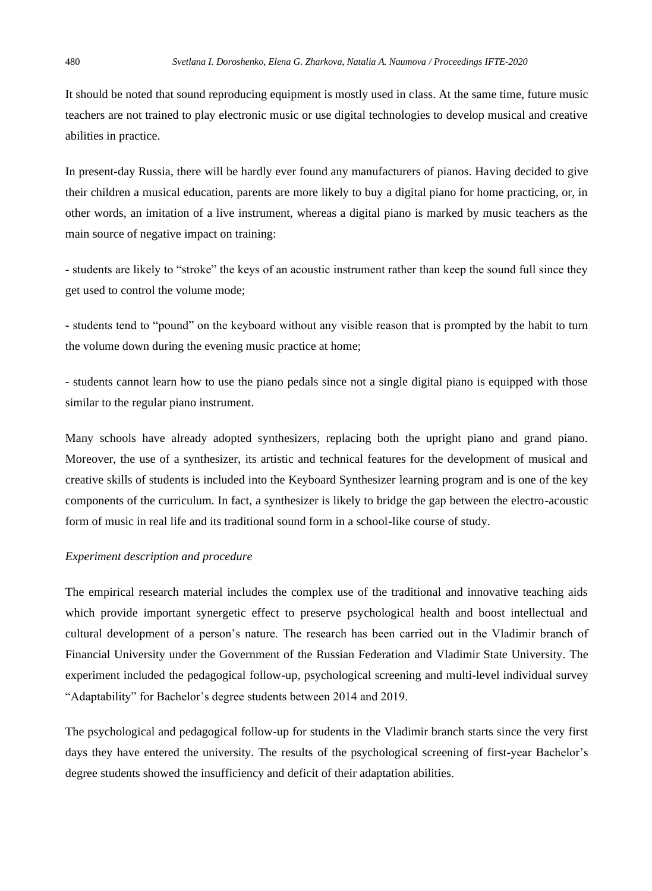It should be noted that sound reproducing equipment is mostly used in class. At the same time, future music teachers are not trained to play electronic music or use digital technologies to develop musical and creative abilities in practice.

In present-day Russia, there will be hardly ever found any manufacturers of pianos. Having decided to give their children a musical education, parents are more likely to buy a digital piano for home practicing, or, in other words, an imitation of a live instrument, whereas a digital piano is marked by music teachers as the main source of negative impact on training:

- students are likely to "stroke" the keys of an acoustic instrument rather than keep the sound full since they get used to control the volume mode;

- students tend to "pound" on the keyboard without any visible reason that is prompted by the habit to turn the volume down during the evening music practice at home;

- students cannot learn how to use the piano pedals since not a single digital piano is equipped with those similar to the regular piano instrument.

Many schools have already adopted synthesizers, replacing both the upright piano and grand piano. Moreover, the use of a synthesizer, its artistic and technical features for the development of musical and creative skills of students is included into the Keyboard Synthesizer learning program and is one of the key components of the curriculum. In fact, a synthesizer is likely to bridge the gap between the electro-acoustic form of music in real life and its traditional sound form in a school-like course of study.

#### *Experiment description and procedure*

The empirical research material includes the complex use of the traditional and innovative teaching aids which provide important synergetic effect to preserve psychological health and boost intellectual and cultural development of a person's nature. The research has been carried out in the Vladimir branch of Financial University under the Government of the Russian Federation and Vladimir State University. The experiment included the pedagogical follow-up, psychological screening and multi-level individual survey "Adaptability" for Bachelor's degree students between 2014 and 2019.

The psychological and pedagogical follow-up for students in the Vladimir branch starts since the very first days they have entered the university. The results of the psychological screening of first-year Bachelor's degree students showed the insufficiency and deficit of their adaptation abilities.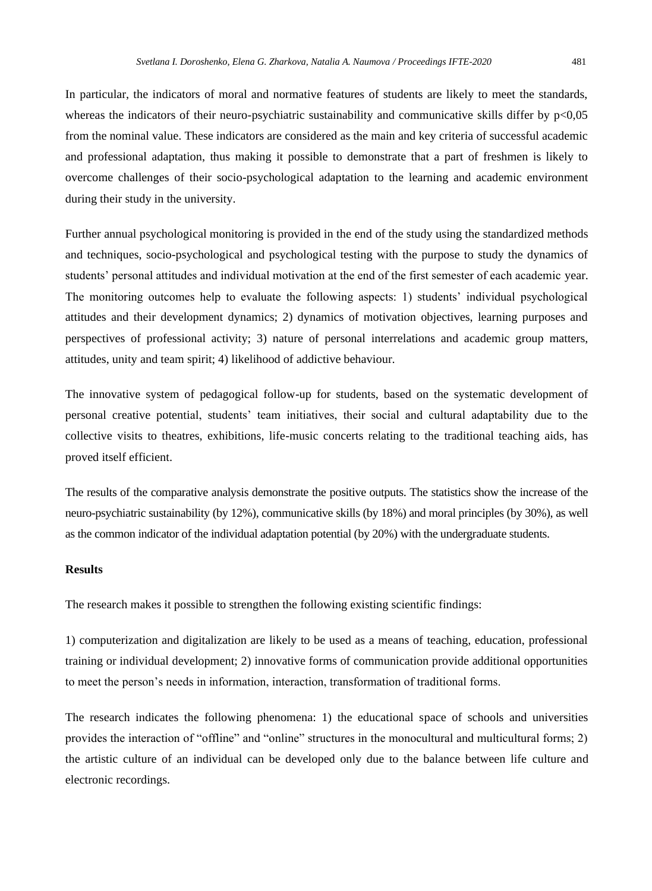In particular, the indicators of moral and normative features of students are likely to meet the standards, whereas the indicators of their neuro-psychiatric sustainability and communicative skills differ by  $p<0,05$ from the nominal value. These indicators are considered as the main and key criteria of successful academic and professional adaptation, thus making it possible to demonstrate that a part of freshmen is likely to overcome challenges of their socio-psychological adaptation to the learning and academic environment during their study in the university.

Further annual psychological monitoring is provided in the end of the study using the standardized methods and techniques, socio-psychological and psychological testing with the purpose to study the dynamics of students' personal attitudes and individual motivation at the end of the first semester of each academic year. The monitoring outcomes help to evaluate the following aspects: 1) students' individual psychological attitudes and their development dynamics; 2) dynamics of motivation objectives, learning purposes and perspectives of professional activity; 3) nature of personal interrelations and academic group matters, attitudes, unity and team spirit; 4) likelihood of addictive behaviour.

The innovative system of pedagogical follow-up for students, based on the systematic development of personal creative potential, students' team initiatives, their social and cultural adaptability due to the collective visits to theatres, exhibitions, life-music concerts relating to the traditional teaching aids, has proved itself efficient.

The results of the comparative analysis demonstrate the positive outputs. The statistics show the increase of the neuro-psychiatric sustainability (by 12%), communicative skills (by 18%) and moral principles (by 30%), as well as the common indicator of the individual adaptation potential (by 20%) with the undergraduate students.

## **Results**

The research makes it possible to strengthen the following existing scientific findings:

1) computerization and digitalization are likely to be used as a means of teaching, education, professional training or individual development; 2) innovative forms of communication provide additional opportunities to meet the person's needs in information, interaction, transformation of traditional forms.

The research indicates the following phenomena: 1) the educational space of schools and universities provides the interaction of "offline" and "online" structures in the monocultural and multicultural forms; 2) the artistic culture of an individual can be developed only due to the balance between life culture and electronic recordings.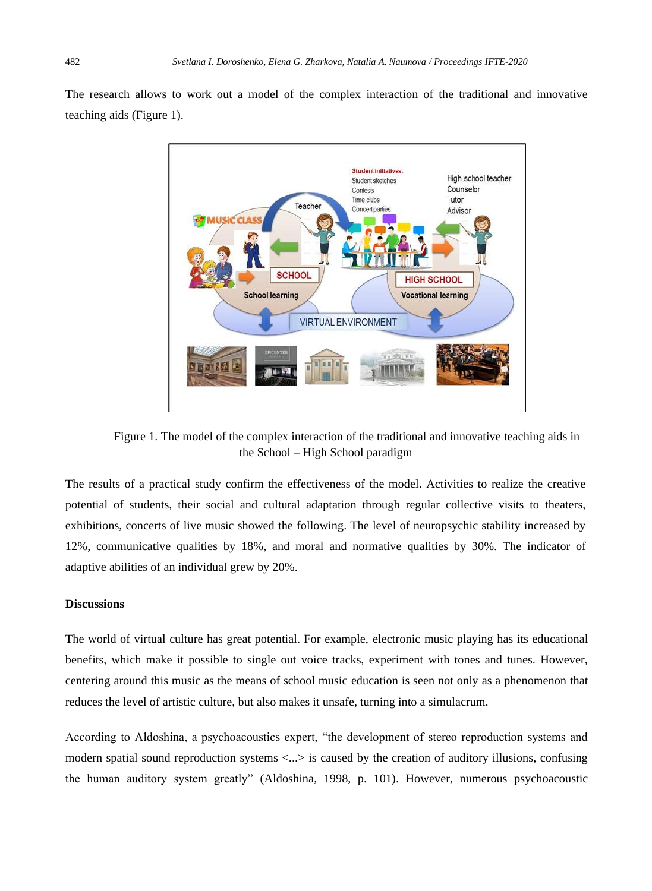The research allows to work out a model of the complex interaction of the traditional and innovative teaching aids (Figure 1).



Figure 1. The model of the complex interaction of the traditional and innovative teaching aids in the School – High School paradigm

The results of a practical study confirm the effectiveness of the model. Activities to realize the creative potential of students, their social and cultural adaptation through regular collective visits to theaters, exhibitions, concerts of live music showed the following. The level of neuropsychic stability increased by 12%, communicative qualities by 18%, and moral and normative qualities by 30%. The indicator of adaptive abilities of an individual grew by 20%.

## **Discussions**

The world of virtual culture has great potential. For example, electronic music playing has its educational benefits, which make it possible to single out voice tracks, experiment with tones and tunes. However, centering around this music as the means of school music education is seen not only as a phenomenon that reduces the level of artistic culture, but also makes it unsafe, turning into a simulacrum.

According to Aldoshina, a psychoacoustics expert, "the development of stereo reproduction systems and modern spatial sound reproduction systems <...> is caused by the creation of auditory illusions, confusing the human auditory system greatly" (Aldoshina, 1998, p. 101). However, numerous psychoacoustic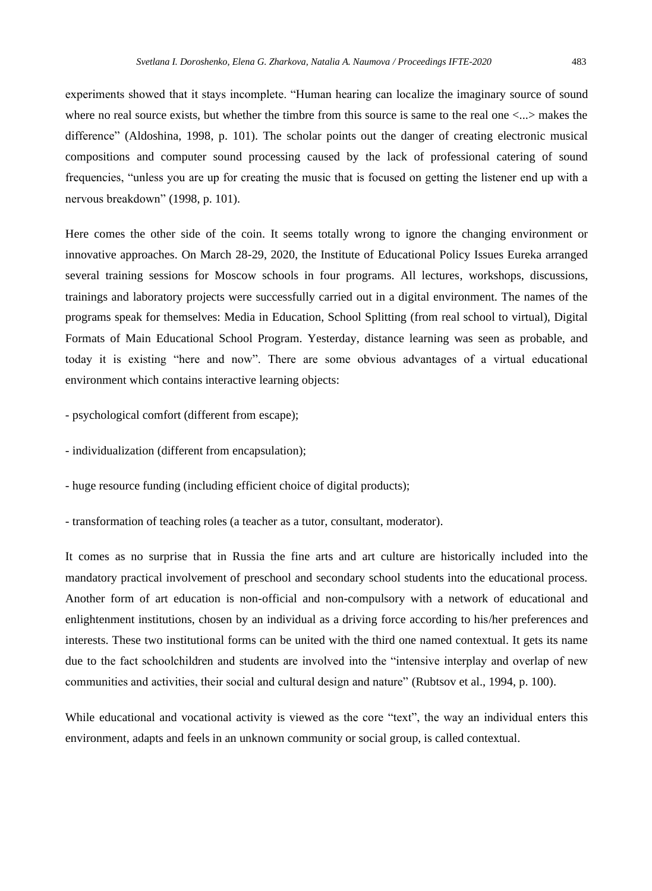experiments showed that it stays incomplete. "Human hearing can localize the imaginary source of sound where no real source exists, but whether the timbre from this source is same to the real one <...> makes the difference" (Aldoshina, 1998, p. 101). The scholar points out the danger of creating electronic musical compositions and computer sound processing caused by the lack of professional catering of sound frequencies, "unless you are up for creating the music that is focused on getting the listener end up with a nervous breakdown" (1998, p. 101).

Here comes the other side of the coin. It seems totally wrong to ignore the changing environment or innovative approaches. On March 28-29, 2020, the Institute of Educational Policy Issues Eureka arranged several training sessions for Moscow schools in four programs. All lectures, workshops, discussions, trainings and laboratory projects were successfully carried out in a digital environment. The names of the programs speak for themselves: Media in Education, School Splitting (from real school to virtual), Digital Formats of Main Educational School Program. Yesterday, distance learning was seen as probable, and today it is existing "here and now". There are some obvious advantages of a virtual educational environment which contains interactive learning objects:

- psychological comfort (different from escape);

- individualization (different from encapsulation);

- huge resource funding (including efficient choice of digital products);

- transformation of teaching roles (a teacher as a tutor, consultant, moderator).

It comes as no surprise that in Russia the fine arts and art culture are historically included into the mandatory practical involvement of preschool and secondary school students into the educational process. Another form of art education is non-official and non-compulsory with a network of educational and enlightenment institutions, chosen by an individual as a driving force according to his/her preferences and interests. These two institutional forms can be united with the third one named contextual. It gets its name due to the fact schoolchildren and students are involved into the "intensive interplay and overlap of new communities and activities, their social and cultural design and nature" (Rubtsov et al., 1994, p. 100).

While educational and vocational activity is viewed as the core "text", the way an individual enters this environment, adapts and feels in an unknown community or social group, is called contextual.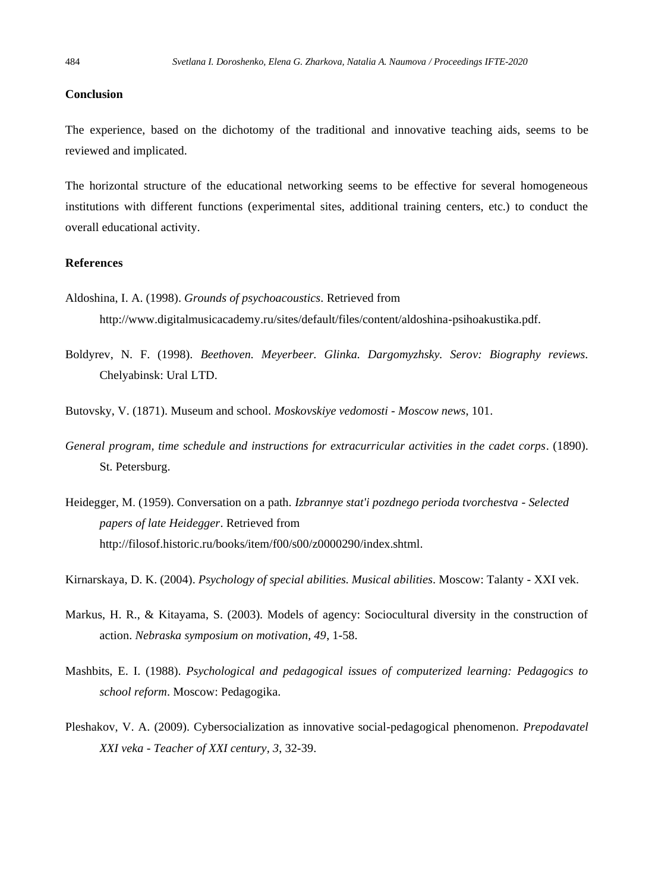## **Conclusion**

The experience, based on the dichotomy of the traditional and innovative teaching aids, seems to be reviewed and implicated.

The horizontal structure of the educational networking seems to be effective for several homogeneous institutions with different functions (experimental sites, additional training centers, etc.) to conduct the overall educational activity.

# **References**

- Aldoshina, I. A. (1998). *Grounds of psychoacoustics*. Retrieved from http://www.digitalmusicacademy.ru/sites/default/files/content/aldoshina-psihoakustika.pdf.
- Boldyrev, N. F. (1998). *Beethoven. Meyerbeer. Glinka. Dargomyzhsky. Serov: Biography reviews*. Chelyabinsk: Ural LTD.

Butovsky, V. (1871). Museum and school. *Moskovskiye vedomosti - Moscow news*, 101.

- *General program, time schedule and instructions for extracurricular activities in the cadet corps*. (1890). St. Petersburg.
- Heidegger, М. (1959). Conversation on a path. *Izbrannye stat'i pozdnego perioda tvorchestva - Selected papers of late Heidegger*. Retrieved from http://filosof.historic.ru/books/item/f00/s00/z0000290/index.shtml.

Kirnarskaya, D. K. (2004). *Psychology of special abilities. Musical abilities*. Moscow: Talanty - XXI vek.

- Markus, H. R., & Kitayama, S. (2003). Models of agency: Sociocultural diversity in the construction of action. *Nebraska symposium on motivation, 49*, 1-58.
- Mashbits, E. I. (1988). *Psychological and pedagogical issues of computerized learning: Pedagogics to school reform*. Moscow: Pedagogika.
- Pleshakov, V. A. (2009). Cybersocialization as innovative social-pedagogical phenomenon. *Prepodavatel XXI veka - Teacher of XXI century, 3*, 32-39.